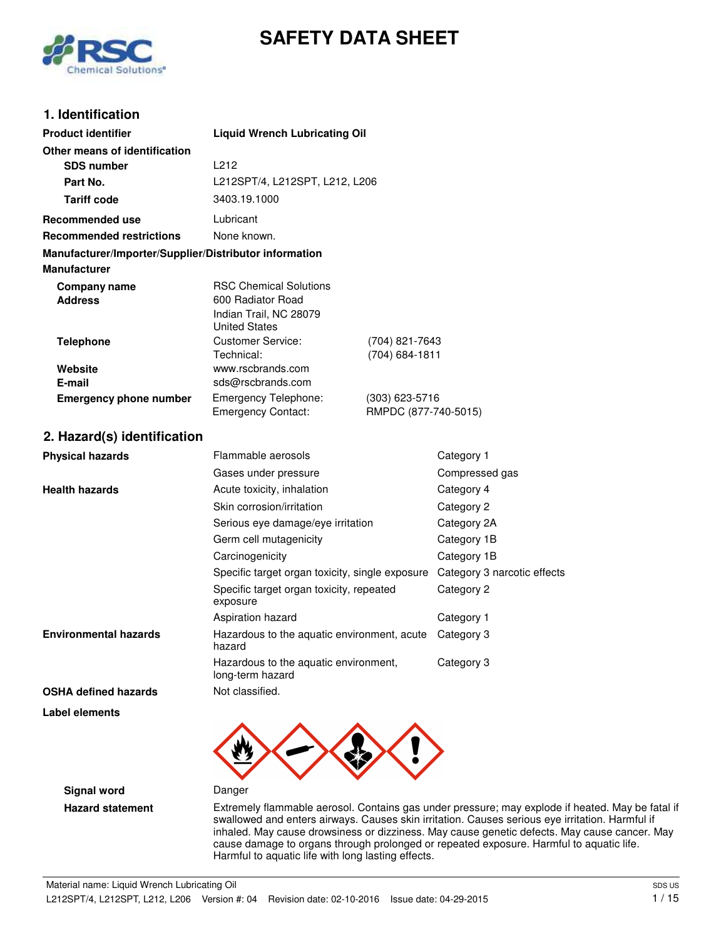



## **1. Identification**

| <b>Product identifier</b>                                                     | <b>Liquid Wrench Lubricating Oil</b>                                                                 |                                        |                             |
|-------------------------------------------------------------------------------|------------------------------------------------------------------------------------------------------|----------------------------------------|-----------------------------|
| Other means of identification                                                 |                                                                                                      |                                        |                             |
| <b>SDS number</b>                                                             | L212                                                                                                 |                                        |                             |
| Part No.                                                                      | L212SPT/4, L212SPT, L212, L206                                                                       |                                        |                             |
| <b>Tariff code</b>                                                            | 3403.19.1000                                                                                         |                                        |                             |
| <b>Recommended use</b>                                                        | Lubricant                                                                                            |                                        |                             |
| <b>Recommended restrictions</b>                                               | None known.                                                                                          |                                        |                             |
| Manufacturer/Importer/Supplier/Distributor information<br><b>Manufacturer</b> |                                                                                                      |                                        |                             |
| <b>Company name</b><br><b>Address</b>                                         | <b>RSC Chemical Solutions</b><br>600 Radiator Road<br>Indian Trail, NC 28079<br><b>United States</b> |                                        |                             |
| <b>Telephone</b>                                                              | <b>Customer Service:</b><br>Technical:                                                               | (704) 821-7643<br>(704) 684-1811       |                             |
| Website<br>E-mail                                                             | www.rscbrands.com<br>sds@rscbrands.com                                                               |                                        |                             |
| <b>Emergency phone number</b>                                                 | Emergency Telephone:<br><b>Emergency Contact:</b>                                                    | (303) 623-5716<br>RMPDC (877-740-5015) |                             |
| 2. Hazard(s) identification                                                   |                                                                                                      |                                        |                             |
| <b>Physical hazards</b>                                                       | Flammable aerosols                                                                                   |                                        | Category 1                  |
|                                                                               | Gases under pressure                                                                                 |                                        | Compressed gas              |
| <b>Health hazards</b>                                                         | Acute toxicity, inhalation                                                                           |                                        | Category 4                  |
|                                                                               | Skin corrosion/irritation                                                                            |                                        | Category 2                  |
|                                                                               | Serious eye damage/eye irritation                                                                    |                                        | Category 2A                 |
|                                                                               | Germ cell mutagenicity                                                                               |                                        | Category 1B                 |
|                                                                               | Carcinogenicity                                                                                      |                                        | Category 1B                 |
|                                                                               | Specific target organ toxicity, single exposure                                                      |                                        | Category 3 narcotic effects |
|                                                                               | Specific target organ toxicity, repeated<br>exposure                                                 |                                        | Category 2                  |
|                                                                               | Aspiration hazard                                                                                    |                                        | Category 1                  |
| <b>Environmental hazards</b>                                                  | Hazardous to the aquatic environment, acute<br>hazard                                                |                                        | Category 3                  |
|                                                                               | Hazardous to the aquatic environment,<br>long-term hazard                                            |                                        | Category 3                  |
| <b>OSHA defined hazards</b>                                                   | Not classified.                                                                                      |                                        |                             |
| Label elements                                                                | ▴<br>◚                                                                                               | ◢                                      |                             |



**Signal word** Danger

**Hazard statement** Extremely flammable aerosol. Contains gas under pressure; may explode if heated. May be fatal if swallowed and enters airways. Causes skin irritation. Causes serious eye irritation. Harmful if inhaled. May cause drowsiness or dizziness. May cause genetic defects. May cause cancer. May cause damage to organs through prolonged or repeated exposure. Harmful to aquatic life. Harmful to aquatic life with long lasting effects.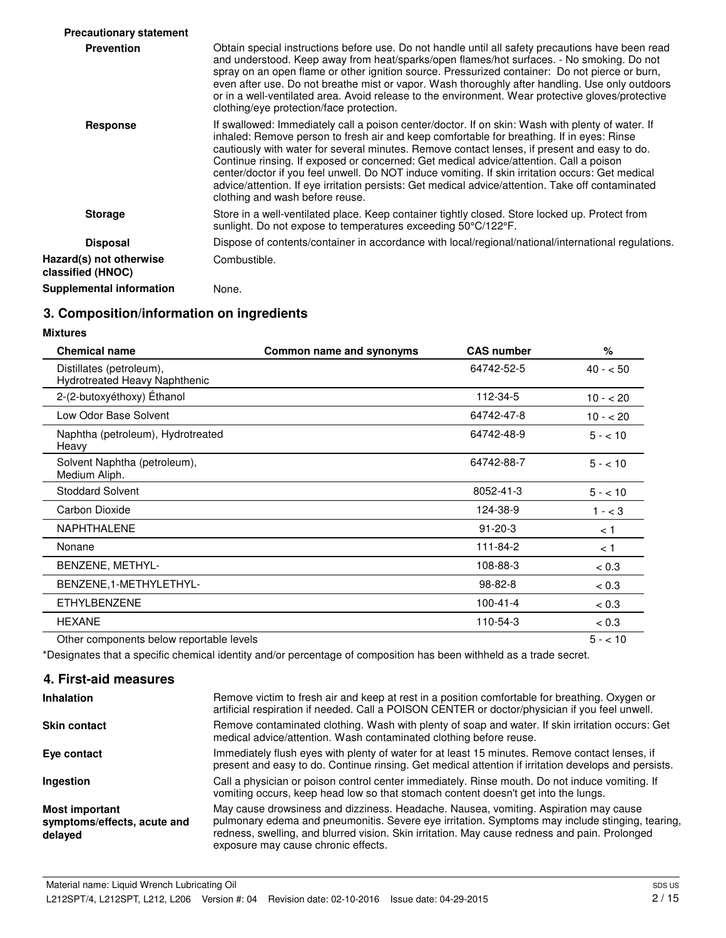| <b>Precautionary statement</b>               |                                                                                                                                                                                                                                                                                                                                                                                                                                                                                                                                                                                                                                     |
|----------------------------------------------|-------------------------------------------------------------------------------------------------------------------------------------------------------------------------------------------------------------------------------------------------------------------------------------------------------------------------------------------------------------------------------------------------------------------------------------------------------------------------------------------------------------------------------------------------------------------------------------------------------------------------------------|
| <b>Prevention</b>                            | Obtain special instructions before use. Do not handle until all safety precautions have been read<br>and understood. Keep away from heat/sparks/open flames/hot surfaces. - No smoking. Do not<br>spray on an open flame or other ignition source. Pressurized container: Do not pierce or burn,<br>even after use. Do not breathe mist or vapor. Wash thoroughly after handling. Use only outdoors<br>or in a well-ventilated area. Avoid release to the environment. Wear protective gloves/protective<br>clothing/eye protection/face protection.                                                                                |
| <b>Response</b>                              | If swallowed: Immediately call a poison center/doctor. If on skin: Wash with plenty of water. If<br>inhaled: Remove person to fresh air and keep comfortable for breathing. If in eyes: Rinse<br>cautiously with water for several minutes. Remove contact lenses, if present and easy to do.<br>Continue rinsing. If exposed or concerned: Get medical advice/attention. Call a poison<br>center/doctor if you feel unwell. Do NOT induce vomiting. If skin irritation occurs: Get medical<br>advice/attention. If eye irritation persists: Get medical advice/attention. Take off contaminated<br>clothing and wash before reuse. |
| <b>Storage</b>                               | Store in a well-ventilated place. Keep container tightly closed. Store locked up. Protect from<br>sunlight. Do not expose to temperatures exceeding 50°C/122°F.                                                                                                                                                                                                                                                                                                                                                                                                                                                                     |
| <b>Disposal</b>                              | Dispose of contents/container in accordance with local/regional/national/international regulations.                                                                                                                                                                                                                                                                                                                                                                                                                                                                                                                                 |
| Hazard(s) not otherwise<br>classified (HNOC) | Combustible.                                                                                                                                                                                                                                                                                                                                                                                                                                                                                                                                                                                                                        |
| Supplemental information                     | None.                                                                                                                                                                                                                                                                                                                                                                                                                                                                                                                                                                                                                               |

## **3. Composition/information on ingredients**

**Mixtures**

| <b>Chemical name</b>                                      | Common name and synonyms | <b>CAS number</b> | $\%$      |
|-----------------------------------------------------------|--------------------------|-------------------|-----------|
| Distillates (petroleum),<br>Hydrotreated Heavy Naphthenic |                          | 64742-52-5        | $40 - 50$ |
| 2-(2-butoxyéthoxy) Éthanol                                |                          | 112-34-5          | $10 - 20$ |
| Low Odor Base Solvent                                     |                          | 64742-47-8        | $10 - 20$ |
| Naphtha (petroleum), Hydrotreated<br>Heavy                |                          | 64742-48-9        | $5 - 10$  |
| Solvent Naphtha (petroleum),<br>Medium Aliph.             |                          | 64742-88-7        | $5 - 10$  |
| <b>Stoddard Solvent</b>                                   |                          | 8052-41-3         | $5 - 10$  |
| Carbon Dioxide                                            |                          | 124-38-9          | $1 - < 3$ |
| <b>NAPHTHALENE</b>                                        |                          | $91 - 20 - 3$     | < 1       |
| Nonane                                                    |                          | 111-84-2          | < 1       |
| BENZENE, METHYL-                                          |                          | 108-88-3          | < 0.3     |
| BENZENE, 1-METHYLETHYL-                                   |                          | 98-82-8           | < 0.3     |
| <b>ETHYLBENZENE</b>                                       |                          | $100 - 41 - 4$    | < 0.3     |
| <b>HEXANE</b>                                             |                          | 110-54-3          | < 0.3     |
| Other components below reportable levels                  |                          |                   | $5 - 10$  |

\*Designates that a specific chemical identity and/or percentage of composition has been withheld as a trade secret.

## **4. First-aid measures**

| <b>Inhalation</b>                                               | Remove victim to fresh air and keep at rest in a position comfortable for breathing. Oxygen or<br>artificial respiration if needed. Call a POISON CENTER or doctor/physician if you feel unwell.                                                                                                                                |
|-----------------------------------------------------------------|---------------------------------------------------------------------------------------------------------------------------------------------------------------------------------------------------------------------------------------------------------------------------------------------------------------------------------|
| <b>Skin contact</b>                                             | Remove contaminated clothing. Wash with plenty of soap and water. If skin irritation occurs: Get<br>medical advice/attention. Wash contaminated clothing before reuse.                                                                                                                                                          |
| Eye contact                                                     | Immediately flush eyes with plenty of water for at least 15 minutes. Remove contact lenses, if<br>present and easy to do. Continue rinsing. Get medical attention if irritation develops and persists.                                                                                                                          |
| Ingestion                                                       | Call a physician or poison control center immediately. Rinse mouth. Do not induce vomiting. If<br>vomiting occurs, keep head low so that stomach content doesn't get into the lungs.                                                                                                                                            |
| <b>Most important</b><br>symptoms/effects, acute and<br>delayed | May cause drowsiness and dizziness. Headache. Nausea, vomiting. Aspiration may cause<br>pulmonary edema and pneumonitis. Severe eye irritation. Symptoms may include stinging, tearing,<br>redness, swelling, and blurred vision. Skin irritation. May cause redness and pain. Prolonged<br>exposure may cause chronic effects. |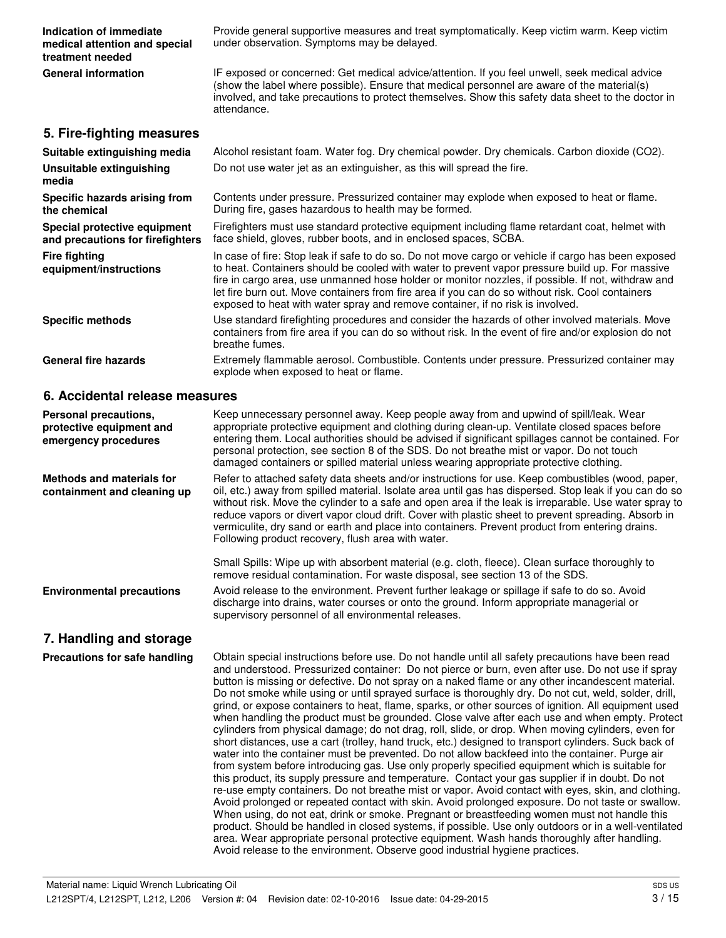| Indication of immediate                                          | Provide general supportive measures and treat symptomatically. Keep victim warm. Keep victim                                                                                                                                                                                                                                                                                                                                                                                                       |
|------------------------------------------------------------------|----------------------------------------------------------------------------------------------------------------------------------------------------------------------------------------------------------------------------------------------------------------------------------------------------------------------------------------------------------------------------------------------------------------------------------------------------------------------------------------------------|
| medical attention and special<br>treatment needed                | under observation. Symptoms may be delayed.                                                                                                                                                                                                                                                                                                                                                                                                                                                        |
| <b>General information</b>                                       | IF exposed or concerned: Get medical advice/attention. If you feel unwell, seek medical advice<br>(show the label where possible). Ensure that medical personnel are aware of the material(s)<br>involved, and take precautions to protect themselves. Show this safety data sheet to the doctor in<br>attendance.                                                                                                                                                                                 |
| 5. Fire-fighting measures                                        |                                                                                                                                                                                                                                                                                                                                                                                                                                                                                                    |
| Suitable extinguishing media                                     | Alcohol resistant foam. Water fog. Dry chemical powder. Dry chemicals. Carbon dioxide (CO2).                                                                                                                                                                                                                                                                                                                                                                                                       |
| Unsuitable extinguishing<br>media                                | Do not use water jet as an extinguisher, as this will spread the fire.                                                                                                                                                                                                                                                                                                                                                                                                                             |
| Specific hazards arising from<br>the chemical                    | Contents under pressure. Pressurized container may explode when exposed to heat or flame.<br>During fire, gases hazardous to health may be formed.                                                                                                                                                                                                                                                                                                                                                 |
| Special protective equipment<br>and precautions for firefighters | Firefighters must use standard protective equipment including flame retardant coat, helmet with<br>face shield, gloves, rubber boots, and in enclosed spaces, SCBA.                                                                                                                                                                                                                                                                                                                                |
| <b>Fire fighting</b><br>equipment/instructions                   | In case of fire: Stop leak if safe to do so. Do not move cargo or vehicle if cargo has been exposed<br>to heat. Containers should be cooled with water to prevent vapor pressure build up. For massive<br>fire in cargo area, use unmanned hose holder or monitor nozzles, if possible. If not, withdraw and<br>let fire burn out. Move containers from fire area if you can do so without risk. Cool containers<br>exposed to heat with water spray and remove container, if no risk is involved. |
| <b>Specific methods</b>                                          | Use standard firefighting procedures and consider the hazards of other involved materials. Move<br>containers from fire area if you can do so without risk. In the event of fire and/or explosion do not<br>breathe fumes.                                                                                                                                                                                                                                                                         |
| <b>General fire hazards</b>                                      | Extremely flammable aerosol. Combustible. Contents under pressure. Pressurized container may<br>explode when exposed to heat or flame.                                                                                                                                                                                                                                                                                                                                                             |

### **6. Accidental release measures**

| Personal precautions,<br>protective equipment and<br>emergency procedures | Keep unnecessary personnel away. Keep people away from and upwind of spill/leak. Wear<br>appropriate protective equipment and clothing during clean-up. Ventilate closed spaces before<br>entering them. Local authorities should be advised if significant spillages cannot be contained. For<br>personal protection, see section 8 of the SDS. Do not breathe mist or vapor. Do not touch<br>damaged containers or spilled material unless wearing appropriate protective clothing.                                                                                                                                                                                                                                                |
|---------------------------------------------------------------------------|--------------------------------------------------------------------------------------------------------------------------------------------------------------------------------------------------------------------------------------------------------------------------------------------------------------------------------------------------------------------------------------------------------------------------------------------------------------------------------------------------------------------------------------------------------------------------------------------------------------------------------------------------------------------------------------------------------------------------------------|
| Methods and materials for<br>containment and cleaning up                  | Refer to attached safety data sheets and/or instructions for use. Keep combustibles (wood, paper,<br>oil, etc.) away from spilled material. Isolate area until gas has dispersed. Stop leak if you can do so<br>without risk. Move the cylinder to a safe and open area if the leak is irreparable. Use water spray to<br>reduce vapors or divert vapor cloud drift. Cover with plastic sheet to prevent spreading. Absorb in<br>vermiculite, dry sand or earth and place into containers. Prevent product from entering drains.<br>Following product recovery, flush area with water.                                                                                                                                               |
|                                                                           | Small Spills: Wipe up with absorbent material (e.g. cloth, fleece). Clean surface thoroughly to<br>remove residual contamination. For waste disposal, see section 13 of the SDS.                                                                                                                                                                                                                                                                                                                                                                                                                                                                                                                                                     |
| <b>Environmental precautions</b>                                          | Avoid release to the environment. Prevent further leakage or spillage if safe to do so. Avoid<br>discharge into drains, water courses or onto the ground. Inform appropriate managerial or<br>supervisory personnel of all environmental releases.                                                                                                                                                                                                                                                                                                                                                                                                                                                                                   |
| 7. Handling and storage                                                   |                                                                                                                                                                                                                                                                                                                                                                                                                                                                                                                                                                                                                                                                                                                                      |
| Precautions for safe handling                                             | Obtain special instructions before use. Do not handle until all safety precautions have been read<br>and understood. Pressurized container: Do not pierce or burn, even after use. Do not use if spray<br>button is missing or defective. Do not spray on a naked flame or any other incandescent material.<br>Do not smoke while using or until sprayed surface is thoroughly dry. Do not cut, weld, solder, drill,<br>grind, or expose containers to heat, flame, sparks, or other sources of ignition. All equipment used<br>when handling the product must be grounded. Close valve after each use and when empty. Protect<br>cylinders from physical damage; do not drag, roll, slide, or drop. When moving cylinders, even for |

short distances, use a cart (trolley, hand truck, etc.) designed to transport cylinders. Suck back of water into the container must be prevented. Do not allow backfeed into the container. Purge air from system before introducing gas. Use only properly specified equipment which is suitable for this product, its supply pressure and temperature. Contact your gas supplier if in doubt. Do not re-use empty containers. Do not breathe mist or vapor. Avoid contact with eyes, skin, and clothing. Avoid prolonged or repeated contact with skin. Avoid prolonged exposure. Do not taste or swallow. When using, do not eat, drink or smoke. Pregnant or breastfeeding women must not handle this product. Should be handled in closed systems, if possible. Use only outdoors or in a well-ventilated area. Wear appropriate personal protective equipment. Wash hands thoroughly after handling.

Avoid release to the environment. Observe good industrial hygiene practices.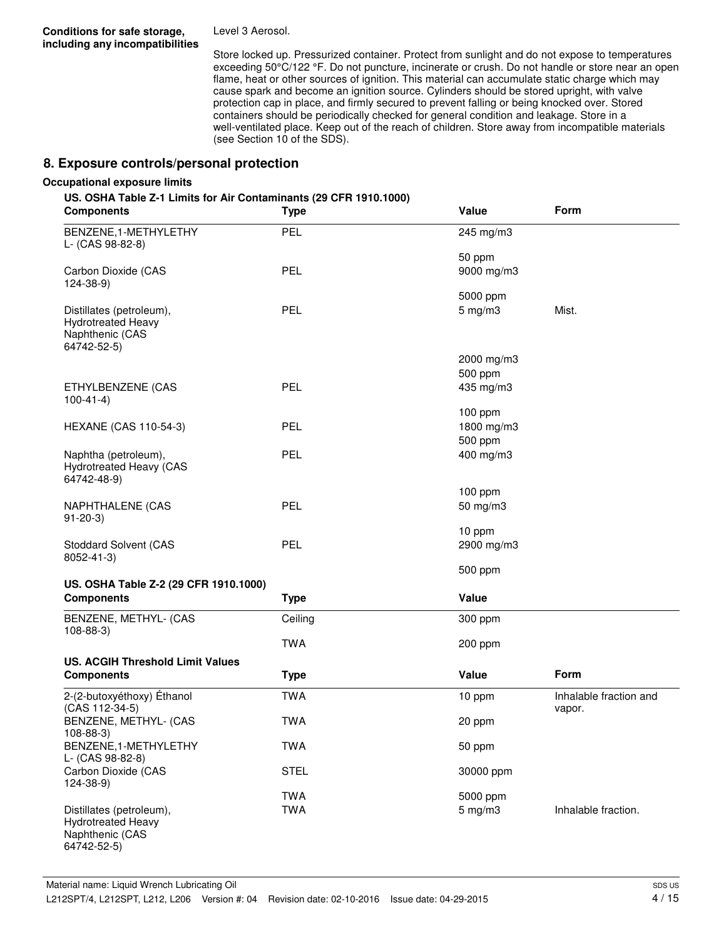**Conditions for safe storage, including any incompatibilities** Level 3 Aerosol.

Store locked up. Pressurized container. Protect from sunlight and do not expose to temperatures exceeding 50°C/122 °F. Do not puncture, incinerate or crush. Do not handle or store near an open flame, heat or other sources of ignition. This material can accumulate static charge which may cause spark and become an ignition source. Cylinders should be stored upright, with valve protection cap in place, and firmly secured to prevent falling or being knocked over. Stored containers should be periodically checked for general condition and leakage. Store in a well-ventilated place. Keep out of the reach of children. Store away from incompatible materials (see Section 10 of the SDS).

## **8. Exposure controls/personal protection**

#### **Occupational exposure limits**

#### **US. OSHA Table Z-1 Limits for Air Contaminants (29 CFR 1910.1000)**

| <b>Components</b>                                                                       | <b>Type</b> | Value                              | Form                             |
|-----------------------------------------------------------------------------------------|-------------|------------------------------------|----------------------------------|
| BENZENE, 1-METHYLETHY<br>L- (CAS 98-82-8)                                               | <b>PEL</b>  | 245 mg/m3                          |                                  |
| Carbon Dioxide (CAS<br>124-38-9)                                                        | <b>PEL</b>  | 50 ppm<br>9000 mg/m3               |                                  |
| Distillates (petroleum),<br><b>Hydrotreated Heavy</b><br>Naphthenic (CAS<br>64742-52-5) | <b>PEL</b>  | 5000 ppm<br>$5$ mg/m $3$           | Mist.                            |
|                                                                                         |             | 2000 mg/m3                         |                                  |
| ETHYLBENZENE (CAS<br>$100-41-4)$                                                        | <b>PEL</b>  | 500 ppm<br>435 mg/m3               |                                  |
| <b>HEXANE (CAS 110-54-3)</b>                                                            | <b>PEL</b>  | $100$ ppm<br>1800 mg/m3<br>500 ppm |                                  |
| Naphtha (petroleum),<br>Hydrotreated Heavy (CAS<br>64742-48-9)                          | <b>PEL</b>  | 400 mg/m3                          |                                  |
| NAPHTHALENE (CAS<br>$91-20-3)$                                                          | <b>PEL</b>  | $100$ ppm<br>50 mg/m3              |                                  |
| <b>Stoddard Solvent (CAS</b><br>8052-41-3)                                              | PEL         | 10 ppm<br>2900 mg/m3               |                                  |
|                                                                                         |             | 500 ppm                            |                                  |
| US. OSHA Table Z-2 (29 CFR 1910.1000)<br><b>Components</b>                              | <b>Type</b> | Value                              |                                  |
| BENZENE, METHYL- (CAS<br>$108 - 88 - 3$                                                 | Ceiling     | 300 ppm                            |                                  |
|                                                                                         | <b>TWA</b>  | 200 ppm                            |                                  |
| <b>US. ACGIH Threshold Limit Values</b><br><b>Components</b>                            | <b>Type</b> | Value                              | Form                             |
| 2-(2-butoxyéthoxy) Éthanol<br>(CAS 112-34-5)                                            | <b>TWA</b>  | 10 ppm                             | Inhalable fraction and<br>vapor. |
| BENZENE, METHYL- (CAS<br>$108 - 88 - 3$                                                 | <b>TWA</b>  | 20 ppm                             |                                  |
| BENZENE, 1-METHYLETHY<br>L- (CAS 98-82-8)                                               | <b>TWA</b>  | 50 ppm                             |                                  |
| Carbon Dioxide (CAS<br>124-38-9)                                                        | <b>STEL</b> | 30000 ppm                          |                                  |
|                                                                                         | <b>TWA</b>  | 5000 ppm                           |                                  |
| Distillates (petroleum),<br><b>Hydrotreated Heavy</b><br>Naphthenic (CAS<br>64742-52-5) | <b>TWA</b>  | $5 \text{ mg/m}$ 3                 | Inhalable fraction.              |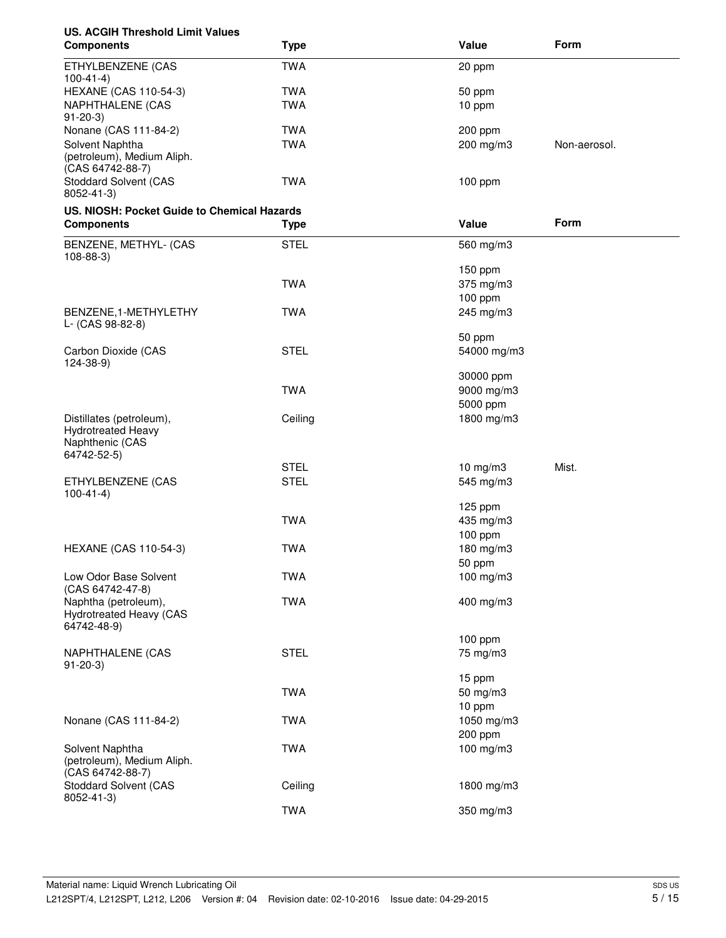# **US. ACGIH Threshold Limit Values**

| <b>Components</b>                                                                       | <b>Type</b> | Value                 | Form         |
|-----------------------------------------------------------------------------------------|-------------|-----------------------|--------------|
| ETHYLBENZENE (CAS<br>$100 - 41 - 4$                                                     | <b>TWA</b>  | 20 ppm                |              |
| <b>HEXANE (CAS 110-54-3)</b>                                                            | <b>TWA</b>  | 50 ppm                |              |
| <b>NAPHTHALENE (CAS</b><br>$91 - 20 - 3$                                                | <b>TWA</b>  | 10 ppm                |              |
| Nonane (CAS 111-84-2)                                                                   | <b>TWA</b>  | 200 ppm               |              |
| Solvent Naphtha<br>(petroleum), Medium Aliph.<br>(CAS 64742-88-7)                       | <b>TWA</b>  | 200 mg/m3             | Non-aerosol. |
| <b>Stoddard Solvent (CAS</b><br>8052-41-3)                                              | <b>TWA</b>  | 100 ppm               |              |
| US. NIOSH: Pocket Guide to Chemical Hazards                                             |             |                       |              |
| <b>Components</b>                                                                       | <b>Type</b> | Value                 | Form         |
| BENZENE, METHYL- (CAS<br>$108 - 88 - 3$                                                 | <b>STEL</b> | 560 mg/m3             |              |
|                                                                                         |             | 150 ppm               |              |
|                                                                                         | <b>TWA</b>  | 375 mg/m3             |              |
|                                                                                         |             | 100 ppm               |              |
| BENZENE, 1-METHYLETHY<br>L- (CAS 98-82-8)                                               | <b>TWA</b>  | 245 mg/m3             |              |
|                                                                                         |             | 50 ppm                |              |
| Carbon Dioxide (CAS<br>$124 - 38 - 9$                                                   | <b>STEL</b> | 54000 mg/m3           |              |
|                                                                                         |             | 30000 ppm             |              |
|                                                                                         | <b>TWA</b>  | 9000 mg/m3            |              |
|                                                                                         |             | 5000 ppm              |              |
| Distillates (petroleum),<br><b>Hydrotreated Heavy</b><br>Naphthenic (CAS<br>64742-52-5) | Ceiling     | 1800 mg/m3            |              |
|                                                                                         | <b>STEL</b> | $10$ mg/m $3$         | Mist.        |
| ETHYLBENZENE (CAS<br>$100-41-4)$                                                        | <b>STEL</b> | 545 mg/m3             |              |
|                                                                                         |             | 125 ppm               |              |
|                                                                                         | <b>TWA</b>  | 435 mg/m3             |              |
|                                                                                         |             | 100 ppm               |              |
| <b>HEXANE (CAS 110-54-3)</b>                                                            | <b>TWA</b>  | 180 mg/m3             |              |
|                                                                                         |             | 50 ppm                |              |
| Low Odor Base Solvent<br>(CAS 64742-47-8)                                               | <b>TWA</b>  | 100 mg/m3             |              |
| Naphtha (petroleum),<br>Hydrotreated Heavy (CAS<br>64742-48-9)                          | <b>TWA</b>  | 400 mg/m3             |              |
|                                                                                         |             | 100 ppm               |              |
| NAPHTHALENE (CAS<br>$91 - 20 - 3$                                                       | <b>STEL</b> | 75 mg/m3              |              |
|                                                                                         |             | 15 ppm                |              |
|                                                                                         | <b>TWA</b>  | 50 mg/m3              |              |
|                                                                                         |             | 10 ppm                |              |
| Nonane (CAS 111-84-2)                                                                   | <b>TWA</b>  | 1050 mg/m3<br>200 ppm |              |
| Solvent Naphtha                                                                         | <b>TWA</b>  | 100 mg/m3             |              |
| (petroleum), Medium Aliph.                                                              |             |                       |              |
| (CAS 64742-88-7)<br><b>Stoddard Solvent (CAS</b><br>8052-41-3)                          | Ceiling     | 1800 mg/m3            |              |
|                                                                                         | <b>TWA</b>  | 350 mg/m3             |              |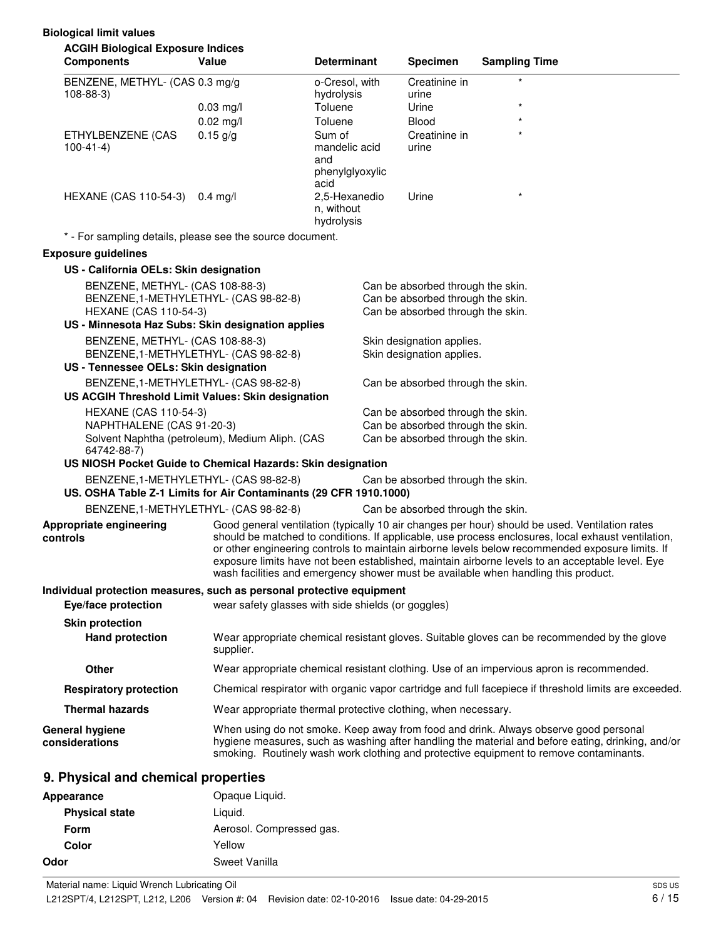| <b>ACGIH Biological Exposure Indices</b><br><b>Components</b>                     | Value                                                                              | <b>Determinant</b>           | <b>Specimen</b>                   | <b>Sampling Time</b> |                                                                                                                                                                                                       |
|-----------------------------------------------------------------------------------|------------------------------------------------------------------------------------|------------------------------|-----------------------------------|----------------------|-------------------------------------------------------------------------------------------------------------------------------------------------------------------------------------------------------|
|                                                                                   |                                                                                    |                              |                                   |                      |                                                                                                                                                                                                       |
| BENZENE, METHYL- (CAS 0.3 mg/g<br>$108 - 88 - 3$                                  |                                                                                    | o-Cresol, with<br>hydrolysis | Creatinine in<br>urine            |                      |                                                                                                                                                                                                       |
|                                                                                   | $0.03$ mg/l                                                                        | Toluene                      | Urine                             | $\star$              |                                                                                                                                                                                                       |
|                                                                                   | $0.02$ mg/l                                                                        | Toluene                      | <b>Blood</b>                      |                      |                                                                                                                                                                                                       |
| ETHYLBENZENE (CAS                                                                 | $0.15$ g/g                                                                         | Sum of                       | Creatinine in                     | $\star$              |                                                                                                                                                                                                       |
| $100 - 41 - 4$                                                                    |                                                                                    | mandelic acid<br>and         | urine                             |                      |                                                                                                                                                                                                       |
|                                                                                   |                                                                                    | phenylglyoxylic              |                                   |                      |                                                                                                                                                                                                       |
|                                                                                   |                                                                                    | acid                         |                                   |                      |                                                                                                                                                                                                       |
| HEXANE (CAS 110-54-3) 0.4 mg/l                                                    |                                                                                    | 2,5-Hexanedio<br>n, without  | Urine                             |                      |                                                                                                                                                                                                       |
|                                                                                   |                                                                                    | hydrolysis                   |                                   |                      |                                                                                                                                                                                                       |
| * - For sampling details, please see the source document.                         |                                                                                    |                              |                                   |                      |                                                                                                                                                                                                       |
| <b>Exposure guidelines</b>                                                        |                                                                                    |                              |                                   |                      |                                                                                                                                                                                                       |
| US - California OELs: Skin designation                                            |                                                                                    |                              |                                   |                      |                                                                                                                                                                                                       |
| BENZENE, METHYL- (CAS 108-88-3)                                                   |                                                                                    |                              | Can be absorbed through the skin. |                      |                                                                                                                                                                                                       |
| BENZENE, 1-METHYLETHYL- (CAS 98-82-8)                                             |                                                                                    |                              | Can be absorbed through the skin. |                      |                                                                                                                                                                                                       |
| <b>HEXANE (CAS 110-54-3)</b><br>US - Minnesota Haz Subs: Skin designation applies |                                                                                    |                              | Can be absorbed through the skin. |                      |                                                                                                                                                                                                       |
| BENZENE, METHYL- (CAS 108-88-3)                                                   |                                                                                    |                              | Skin designation applies.         |                      |                                                                                                                                                                                                       |
| BENZENE, 1-METHYLETHYL- (CAS 98-82-8)                                             |                                                                                    |                              | Skin designation applies.         |                      |                                                                                                                                                                                                       |
| US - Tennessee OELs: Skin designation                                             |                                                                                    |                              |                                   |                      |                                                                                                                                                                                                       |
| BENZENE, 1-METHYLETHYL- (CAS 98-82-8)                                             |                                                                                    |                              | Can be absorbed through the skin. |                      |                                                                                                                                                                                                       |
| US ACGIH Threshold Limit Values: Skin designation                                 |                                                                                    |                              |                                   |                      |                                                                                                                                                                                                       |
| <b>HEXANE (CAS 110-54-3)</b>                                                      |                                                                                    |                              | Can be absorbed through the skin. |                      |                                                                                                                                                                                                       |
| NAPHTHALENE (CAS 91-20-3)                                                         |                                                                                    |                              | Can be absorbed through the skin. |                      |                                                                                                                                                                                                       |
| Solvent Naphtha (petroleum), Medium Aliph. (CAS<br>64742-88-7)                    |                                                                                    |                              | Can be absorbed through the skin. |                      |                                                                                                                                                                                                       |
| US NIOSH Pocket Guide to Chemical Hazards: Skin designation                       |                                                                                    |                              |                                   |                      |                                                                                                                                                                                                       |
| BENZENE, 1-METHYLETHYL- (CAS 98-82-8)                                             |                                                                                    |                              | Can be absorbed through the skin. |                      |                                                                                                                                                                                                       |
| US. OSHA Table Z-1 Limits for Air Contaminants (29 CFR 1910.1000)                 |                                                                                    |                              |                                   |                      |                                                                                                                                                                                                       |
| BENZENE, 1-METHYLETHYL- (CAS 98-82-8)                                             |                                                                                    |                              | Can be absorbed through the skin. |                      |                                                                                                                                                                                                       |
| Appropriate engineering                                                           |                                                                                    |                              |                                   |                      | Good general ventilation (typically 10 air changes per hour) should be used. Ventilation rates                                                                                                        |
| controls                                                                          |                                                                                    |                              |                                   |                      | should be matched to conditions. If applicable, use process enclosures, local exhaust ventilation,<br>or other engineering controls to maintain airborne levels below recommended exposure limits. If |
|                                                                                   |                                                                                    |                              |                                   |                      | exposure limits have not been established, maintain airborne levels to an acceptable level. Eye                                                                                                       |
|                                                                                   | wash facilities and emergency shower must be available when handling this product. |                              |                                   |                      |                                                                                                                                                                                                       |
| Individual protection measures, such as personal protective equipment             |                                                                                    |                              |                                   |                      |                                                                                                                                                                                                       |
| Eye/face protection                                                               | wear safety glasses with side shields (or goggles)                                 |                              |                                   |                      |                                                                                                                                                                                                       |
| <b>Skin protection</b>                                                            |                                                                                    |                              |                                   |                      |                                                                                                                                                                                                       |
| <b>Hand protection</b>                                                            | supplier.                                                                          |                              |                                   |                      | Wear appropriate chemical resistant gloves. Suitable gloves can be recommended by the glove                                                                                                           |
| Other                                                                             |                                                                                    |                              |                                   |                      | Wear appropriate chemical resistant clothing. Use of an impervious apron is recommended.                                                                                                              |
| <b>Respiratory protection</b>                                                     |                                                                                    |                              |                                   |                      | Chemical respirator with organic vapor cartridge and full facepiece if threshold limits are exceeded.                                                                                                 |
| <b>Thermal hazards</b>                                                            | Wear appropriate thermal protective clothing, when necessary.                      |                              |                                   |                      |                                                                                                                                                                                                       |
| <b>General hygiene</b>                                                            |                                                                                    |                              |                                   |                      | When using do not smoke. Keep away from food and drink. Always observe good personal                                                                                                                  |
| considerations                                                                    |                                                                                    |                              |                                   |                      | hygiene measures, such as washing after handling the material and before eating, drinking, and/or<br>smoking. Routinely wash work clothing and protective equipment to remove contaminants.           |
| 9. Physical and chemical properties                                               |                                                                                    |                              |                                   |                      |                                                                                                                                                                                                       |
| <b>Appearance</b>                                                                 | Opaque Liquid.                                                                     |                              |                                   |                      |                                                                                                                                                                                                       |

| <b>Physical state</b> | Liguid.                  |
|-----------------------|--------------------------|
| <b>Form</b>           | Aerosol. Compressed gas. |
| Color                 | Yellow                   |
| Odor                  | Sweet Vanilla            |
|                       |                          |

**Biological limit values**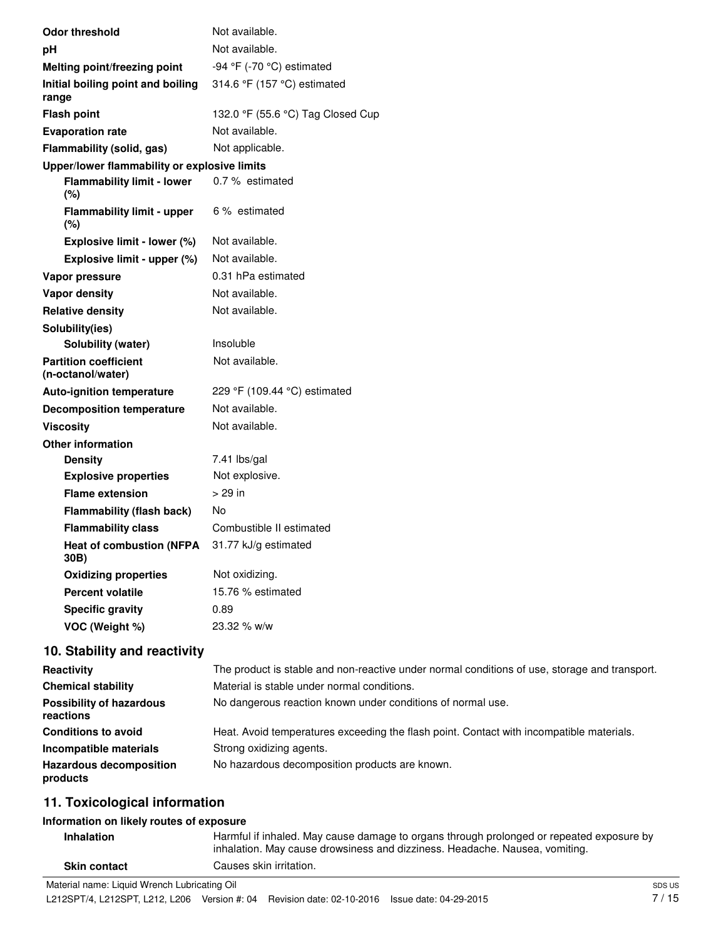| <b>Odor threshold</b>                             | Not available.                    |
|---------------------------------------------------|-----------------------------------|
| pH                                                | Not available.                    |
| Melting point/freezing point                      | -94 °F (-70 °C) estimated         |
| Initial boiling point and boiling<br>range        | 314.6 °F (157 °C) estimated       |
| <b>Flash point</b>                                | 132.0 °F (55.6 °C) Tag Closed Cup |
| <b>Evaporation rate</b>                           | Not available.                    |
| <b>Flammability (solid, gas)</b>                  | Not applicable.                   |
| Upper/lower flammability or explosive limits      |                                   |
| <b>Flammability limit - lower</b><br>(%)          | 0.7 % estimated                   |
| <b>Flammability limit - upper</b><br>(%)          | 6 % estimated                     |
| Explosive limit - lower (%)                       | Not available.                    |
| Explosive limit - upper (%)                       | Not available.                    |
| Vapor pressure                                    | 0.31 hPa estimated                |
| <b>Vapor density</b>                              | Not available.                    |
| <b>Relative density</b>                           | Not available.                    |
| Solubility(ies)                                   |                                   |
| Solubility (water)                                | Insoluble                         |
| <b>Partition coefficient</b><br>(n-octanol/water) | Not available.                    |
| <b>Auto-ignition temperature</b>                  | 229 °F (109.44 °C) estimated      |
| <b>Decomposition temperature</b>                  | Not available.                    |
| <b>Viscosity</b>                                  | Not available.                    |
| <b>Other information</b>                          |                                   |
| <b>Density</b>                                    | 7.41 lbs/gal                      |
| <b>Explosive properties</b>                       | Not explosive.                    |
| <b>Flame extension</b>                            | $>29$ in                          |
| <b>Flammability (flash back)</b>                  | No                                |
| <b>Flammability class</b>                         | Combustible II estimated          |
| <b>Heat of combustion (NFPA</b><br>30B)           | 31.77 kJ/g estimated              |
| <b>Oxidizing properties</b>                       | Not oxidizing.                    |
| <b>Percent volatile</b>                           | 15.76 % estimated                 |
| <b>Specific gravity</b>                           | 0.89                              |
| VOC (Weight %)                                    | 23.32 % w/w                       |
|                                                   |                                   |

# **10. Stability and reactivity**

| Reactivity                                   | The product is stable and non-reactive under normal conditions of use, storage and transport. |
|----------------------------------------------|-----------------------------------------------------------------------------------------------|
| <b>Chemical stability</b>                    | Material is stable under normal conditions.                                                   |
| <b>Possibility of hazardous</b><br>reactions | No dangerous reaction known under conditions of normal use.                                   |
| <b>Conditions to avoid</b>                   | Heat. Avoid temperatures exceeding the flash point. Contact with incompatible materials.      |
| Incompatible materials                       | Strong oxidizing agents.                                                                      |
| <b>Hazardous decomposition</b><br>products   | No hazardous decomposition products are known.                                                |

# **11. Toxicological information**

## **Information on likely routes of exposure**

| <b>Skin contact</b>                                  | inhalation. May cause drowsiness and dizziness. Headache. Nausea, vomiting.<br>Causes skin irritation. |  |
|------------------------------------------------------|--------------------------------------------------------------------------------------------------------|--|
| . Matarial research in Bally and also builded at Oil |                                                                                                        |  |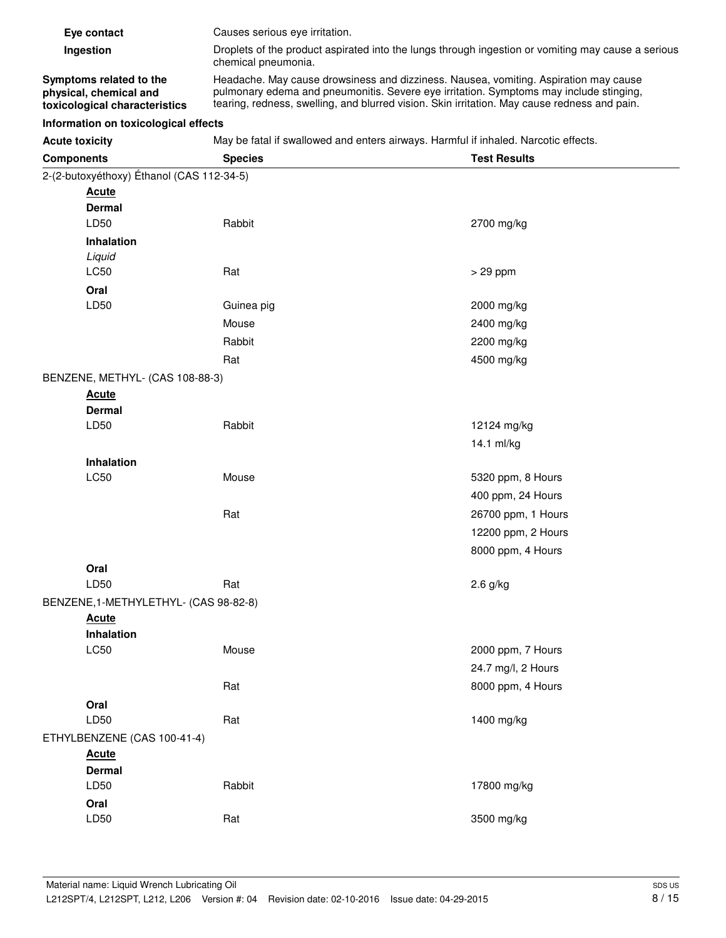| Eye contact                                                                        | Causes serious eye irritation.                                                                                                                                                                                                                                                 |
|------------------------------------------------------------------------------------|--------------------------------------------------------------------------------------------------------------------------------------------------------------------------------------------------------------------------------------------------------------------------------|
| Ingestion                                                                          | Droplets of the product aspirated into the lungs through ingestion or vomiting may cause a serious<br>chemical pneumonia.                                                                                                                                                      |
| Symptoms related to the<br>physical, chemical and<br>toxicological characteristics | Headache. May cause drowsiness and dizziness. Nausea, vomiting. Aspiration may cause<br>pulmonary edema and pneumonitis. Severe eye irritation. Symptoms may include stinging,<br>tearing, redness, swelling, and blurred vision. Skin irritation. May cause redness and pain. |

## **Information on toxicological effects**

Acute toxicity **May be fatal if swallowed and enters airways. Harmful if inhaled. Narcotic effects.** 

| <b>Components</b>                         | <b>Species</b> | <b>Test Results</b> |
|-------------------------------------------|----------------|---------------------|
| 2-(2-butoxyéthoxy) Éthanol (CAS 112-34-5) |                |                     |
| <b>Acute</b>                              |                |                     |
| <b>Dermal</b>                             |                |                     |
| LD50                                      | Rabbit         | 2700 mg/kg          |
| Inhalation                                |                |                     |
| Liquid                                    |                |                     |
| LC50                                      | Rat            | $> 29$ ppm          |
| Oral                                      |                |                     |
| LD50                                      | Guinea pig     | 2000 mg/kg          |
|                                           | Mouse          | 2400 mg/kg          |
|                                           | Rabbit         | 2200 mg/kg          |
|                                           | Rat            | 4500 mg/kg          |
| BENZENE, METHYL- (CAS 108-88-3)           |                |                     |
| <b>Acute</b>                              |                |                     |
| <b>Dermal</b>                             |                |                     |
| LD50                                      | Rabbit         | 12124 mg/kg         |
|                                           |                | 14.1 ml/kg          |
| Inhalation                                |                |                     |
| LC50                                      | Mouse          | 5320 ppm, 8 Hours   |
|                                           |                | 400 ppm, 24 Hours   |
|                                           | Rat            | 26700 ppm, 1 Hours  |
|                                           |                | 12200 ppm, 2 Hours  |
|                                           |                | 8000 ppm, 4 Hours   |
| Oral                                      |                |                     |
| LD50                                      | Rat            | $2.6$ g/kg          |
| BENZENE, 1-METHYLETHYL- (CAS 98-82-8)     |                |                     |
| <b>Acute</b>                              |                |                     |
| Inhalation                                |                |                     |
| <b>LC50</b>                               | Mouse          | 2000 ppm, 7 Hours   |
|                                           |                | 24.7 mg/l, 2 Hours  |
|                                           | Rat            | 8000 ppm, 4 Hours   |
| Oral                                      |                |                     |
| LD50                                      | Rat            | 1400 mg/kg          |
| ETHYLBENZENE (CAS 100-41-4)               |                |                     |
| <b>Acute</b>                              |                |                     |
| <b>Dermal</b>                             |                |                     |
| LD50                                      | Rabbit         | 17800 mg/kg         |
| Oral                                      |                |                     |
| LD50                                      | Rat            | 3500 mg/kg          |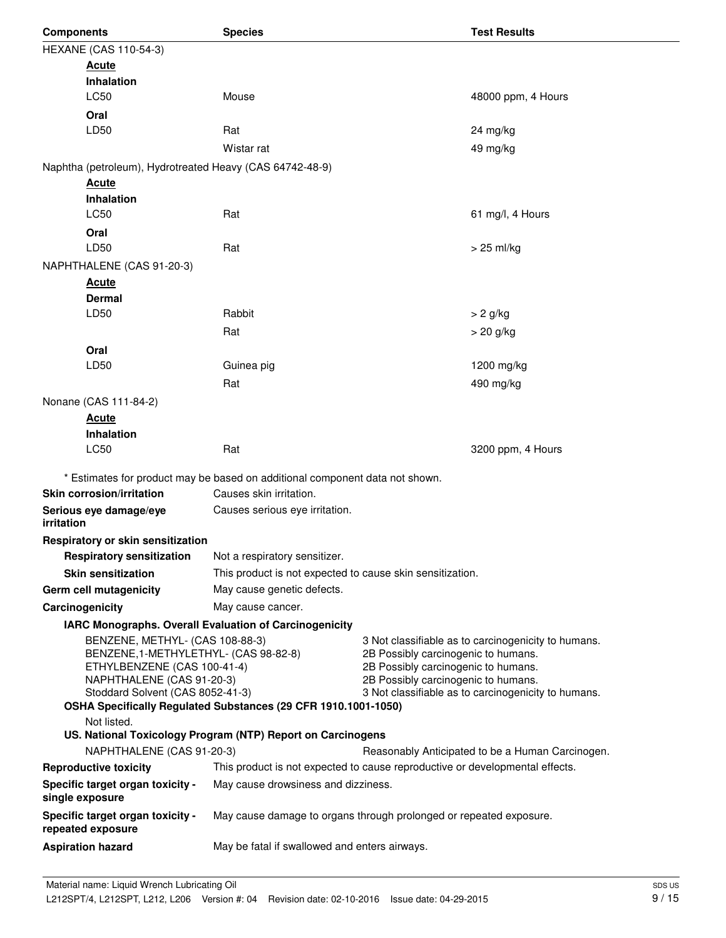| <b>Components</b>                                                                                                                                                                                                                                                                                                                                                                                                                                                             | <b>Species</b>                                                                                                                   |  | <b>Test Results</b> |  |
|-------------------------------------------------------------------------------------------------------------------------------------------------------------------------------------------------------------------------------------------------------------------------------------------------------------------------------------------------------------------------------------------------------------------------------------------------------------------------------|----------------------------------------------------------------------------------------------------------------------------------|--|---------------------|--|
| <b>HEXANE (CAS 110-54-3)</b>                                                                                                                                                                                                                                                                                                                                                                                                                                                  |                                                                                                                                  |  |                     |  |
| <b>Acute</b>                                                                                                                                                                                                                                                                                                                                                                                                                                                                  |                                                                                                                                  |  |                     |  |
| <b>Inhalation</b>                                                                                                                                                                                                                                                                                                                                                                                                                                                             |                                                                                                                                  |  |                     |  |
| LC50                                                                                                                                                                                                                                                                                                                                                                                                                                                                          | Mouse                                                                                                                            |  | 48000 ppm, 4 Hours  |  |
| Oral                                                                                                                                                                                                                                                                                                                                                                                                                                                                          |                                                                                                                                  |  |                     |  |
| LD50                                                                                                                                                                                                                                                                                                                                                                                                                                                                          | Rat                                                                                                                              |  | 24 mg/kg            |  |
|                                                                                                                                                                                                                                                                                                                                                                                                                                                                               | Wistar rat                                                                                                                       |  | 49 mg/kg            |  |
| Naphtha (petroleum), Hydrotreated Heavy (CAS 64742-48-9)                                                                                                                                                                                                                                                                                                                                                                                                                      |                                                                                                                                  |  |                     |  |
| <b>Acute</b>                                                                                                                                                                                                                                                                                                                                                                                                                                                                  |                                                                                                                                  |  |                     |  |
| <b>Inhalation</b>                                                                                                                                                                                                                                                                                                                                                                                                                                                             |                                                                                                                                  |  |                     |  |
| LC50                                                                                                                                                                                                                                                                                                                                                                                                                                                                          | Rat                                                                                                                              |  | 61 mg/l, 4 Hours    |  |
| Oral                                                                                                                                                                                                                                                                                                                                                                                                                                                                          |                                                                                                                                  |  |                     |  |
| LD50                                                                                                                                                                                                                                                                                                                                                                                                                                                                          | Rat                                                                                                                              |  | $> 25$ ml/kg        |  |
| NAPHTHALENE (CAS 91-20-3)                                                                                                                                                                                                                                                                                                                                                                                                                                                     |                                                                                                                                  |  |                     |  |
| <b>Acute</b>                                                                                                                                                                                                                                                                                                                                                                                                                                                                  |                                                                                                                                  |  |                     |  |
| <b>Dermal</b>                                                                                                                                                                                                                                                                                                                                                                                                                                                                 |                                                                                                                                  |  |                     |  |
| LD50                                                                                                                                                                                                                                                                                                                                                                                                                                                                          | Rabbit                                                                                                                           |  | $> 2$ g/kg          |  |
|                                                                                                                                                                                                                                                                                                                                                                                                                                                                               | Rat                                                                                                                              |  | > 20 g/kg           |  |
| Oral                                                                                                                                                                                                                                                                                                                                                                                                                                                                          |                                                                                                                                  |  |                     |  |
| LD50                                                                                                                                                                                                                                                                                                                                                                                                                                                                          | Guinea pig                                                                                                                       |  | 1200 mg/kg          |  |
|                                                                                                                                                                                                                                                                                                                                                                                                                                                                               | Rat                                                                                                                              |  | 490 mg/kg           |  |
| Nonane (CAS 111-84-2)                                                                                                                                                                                                                                                                                                                                                                                                                                                         |                                                                                                                                  |  |                     |  |
| Acute<br><b>Inhalation</b>                                                                                                                                                                                                                                                                                                                                                                                                                                                    |                                                                                                                                  |  |                     |  |
| LC50                                                                                                                                                                                                                                                                                                                                                                                                                                                                          | Rat                                                                                                                              |  | 3200 ppm, 4 Hours   |  |
|                                                                                                                                                                                                                                                                                                                                                                                                                                                                               |                                                                                                                                  |  |                     |  |
|                                                                                                                                                                                                                                                                                                                                                                                                                                                                               | * Estimates for product may be based on additional component data not shown.<br>Causes skin irritation.                          |  |                     |  |
| Skin corrosion/irritation                                                                                                                                                                                                                                                                                                                                                                                                                                                     |                                                                                                                                  |  |                     |  |
| Serious eye damage/eye<br>irritation                                                                                                                                                                                                                                                                                                                                                                                                                                          | Causes serious eye irritation.                                                                                                   |  |                     |  |
| Respiratory or skin sensitization                                                                                                                                                                                                                                                                                                                                                                                                                                             |                                                                                                                                  |  |                     |  |
| <b>Respiratory sensitization</b>                                                                                                                                                                                                                                                                                                                                                                                                                                              | Not a respiratory sensitizer.                                                                                                    |  |                     |  |
| <b>Skin sensitization</b>                                                                                                                                                                                                                                                                                                                                                                                                                                                     | This product is not expected to cause skin sensitization.                                                                        |  |                     |  |
| Germ cell mutagenicity                                                                                                                                                                                                                                                                                                                                                                                                                                                        | May cause genetic defects.                                                                                                       |  |                     |  |
| Carcinogenicity                                                                                                                                                                                                                                                                                                                                                                                                                                                               | May cause cancer.                                                                                                                |  |                     |  |
|                                                                                                                                                                                                                                                                                                                                                                                                                                                                               | IARC Monographs. Overall Evaluation of Carcinogenicity                                                                           |  |                     |  |
| BENZENE, METHYL- (CAS 108-88-3)<br>3 Not classifiable as to carcinogenicity to humans.<br>BENZENE, 1-METHYLETHYL- (CAS 98-82-8)<br>2B Possibly carcinogenic to humans.<br>ETHYLBENZENE (CAS 100-41-4)<br>2B Possibly carcinogenic to humans.<br>2B Possibly carcinogenic to humans.<br>NAPHTHALENE (CAS 91-20-3)<br>Stoddard Solvent (CAS 8052-41-3)<br>3 Not classifiable as to carcinogenicity to humans.<br>OSHA Specifically Regulated Substances (29 CFR 1910.1001-1050) |                                                                                                                                  |  |                     |  |
|                                                                                                                                                                                                                                                                                                                                                                                                                                                                               | Not listed.<br>US. National Toxicology Program (NTP) Report on Carcinogens                                                       |  |                     |  |
| NAPHTHALENE (CAS 91-20-3)                                                                                                                                                                                                                                                                                                                                                                                                                                                     |                                                                                                                                  |  |                     |  |
| <b>Reproductive toxicity</b>                                                                                                                                                                                                                                                                                                                                                                                                                                                  | Reasonably Anticipated to be a Human Carcinogen.<br>This product is not expected to cause reproductive or developmental effects. |  |                     |  |
| Specific target organ toxicity -                                                                                                                                                                                                                                                                                                                                                                                                                                              | May cause drowsiness and dizziness.                                                                                              |  |                     |  |
| single exposure                                                                                                                                                                                                                                                                                                                                                                                                                                                               |                                                                                                                                  |  |                     |  |
| Specific target organ toxicity -<br>repeated exposure                                                                                                                                                                                                                                                                                                                                                                                                                         | May cause damage to organs through prolonged or repeated exposure.                                                               |  |                     |  |
| <b>Aspiration hazard</b>                                                                                                                                                                                                                                                                                                                                                                                                                                                      | May be fatal if swallowed and enters airways.                                                                                    |  |                     |  |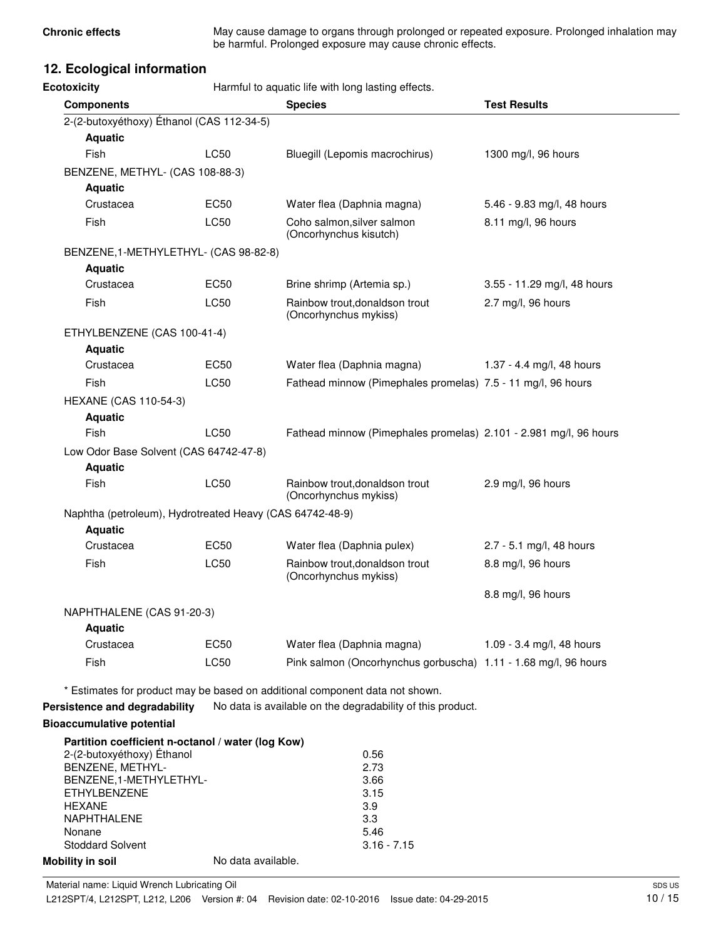**Chronic effects** May cause damage to organs through prolonged or repeated exposure. Prolonged inhalation may be harmful. Prolonged exposure may cause chronic effects.

## **12. Ecological information**

**Ecotoxicity Example 3** Harmful to aquatic life with long lasting effects.

| <b>Components</b>                                        |                    | <b>Species</b>                                                               | <b>Test Results</b>         |
|----------------------------------------------------------|--------------------|------------------------------------------------------------------------------|-----------------------------|
| 2-(2-butoxyéthoxy) Éthanol (CAS 112-34-5)                |                    |                                                                              |                             |
| <b>Aquatic</b>                                           |                    |                                                                              |                             |
| Fish                                                     | LC50               | Bluegill (Lepomis macrochirus)                                               | 1300 mg/l, 96 hours         |
| BENZENE, METHYL- (CAS 108-88-3)                          |                    |                                                                              |                             |
| <b>Aquatic</b>                                           |                    |                                                                              |                             |
| Crustacea                                                | EC50               | Water flea (Daphnia magna)                                                   | 5.46 - 9.83 mg/l, 48 hours  |
| Fish                                                     | LC50               | Coho salmon, silver salmon<br>(Oncorhynchus kisutch)                         | 8.11 mg/l, 96 hours         |
| BENZENE, 1-METHYLETHYL- (CAS 98-82-8)                    |                    |                                                                              |                             |
| <b>Aquatic</b>                                           |                    |                                                                              |                             |
| Crustacea                                                | EC50               | Brine shrimp (Artemia sp.)                                                   | 3.55 - 11.29 mg/l, 48 hours |
| Fish                                                     | <b>LC50</b>        | Rainbow trout, donaldson trout<br>(Oncorhynchus mykiss)                      | 2.7 mg/l, 96 hours          |
| ETHYLBENZENE (CAS 100-41-4)                              |                    |                                                                              |                             |
| <b>Aquatic</b>                                           |                    |                                                                              |                             |
| Crustacea                                                | EC50               | Water flea (Daphnia magna)                                                   | 1.37 - 4.4 mg/l, 48 hours   |
| <b>Fish</b>                                              | LC50               | Fathead minnow (Pimephales promelas) 7.5 - 11 mg/l, 96 hours                 |                             |
| <b>HEXANE (CAS 110-54-3)</b>                             |                    |                                                                              |                             |
|                                                          |                    |                                                                              |                             |
| <b>Aquatic</b>                                           |                    |                                                                              |                             |
| Fish                                                     | LC50               | Fathead minnow (Pimephales promelas) 2.101 - 2.981 mg/l, 96 hours            |                             |
| Low Odor Base Solvent (CAS 64742-47-8)                   |                    |                                                                              |                             |
| <b>Aquatic</b>                                           |                    |                                                                              |                             |
| Fish                                                     | LC50               | Rainbow trout, donaldson trout<br>(Oncorhynchus mykiss)                      | 2.9 mg/l, 96 hours          |
| Naphtha (petroleum), Hydrotreated Heavy (CAS 64742-48-9) |                    |                                                                              |                             |
| <b>Aquatic</b>                                           |                    |                                                                              |                             |
| Crustacea                                                | EC50               | Water flea (Daphnia pulex)                                                   | 2.7 - 5.1 mg/l, 48 hours    |
| Fish                                                     | LC50               | Rainbow trout, donaldson trout<br>(Oncorhynchus mykiss)                      | 8.8 mg/l, 96 hours          |
|                                                          |                    |                                                                              | 8.8 mg/l, 96 hours          |
| NAPHTHALENE (CAS 91-20-3)                                |                    |                                                                              |                             |
| <b>Aquatic</b>                                           |                    |                                                                              |                             |
| Crustacea                                                | EC50               | Water flea (Daphnia magna)                                                   | 1.09 - 3.4 mg/l, 48 hours   |
| Fish                                                     | LC50               | Pink salmon (Oncorhynchus gorbuscha) 1.11 - 1.68 mg/l, 96 hours              |                             |
|                                                          |                    | * Estimates for product may be based on additional component data not shown. |                             |
| Persistence and degradability                            |                    | No data is available on the degradability of this product.                   |                             |
| <b>Bioaccumulative potential</b>                         |                    |                                                                              |                             |
| Partition coefficient n-octanol / water (log Kow)        |                    |                                                                              |                             |
| 2-(2-butoxyéthoxy) Éthanol                               |                    | 0.56                                                                         |                             |
| BENZENE, METHYL-                                         |                    | 2.73                                                                         |                             |
| BENZENE, 1-METHYLETHYL-                                  |                    | 3.66                                                                         |                             |
| <b>ETHYLBENZENE</b><br><b>HEXANE</b>                     |                    | 3.15<br>3.9                                                                  |                             |
| NAPHTHALENE                                              |                    | 3.3                                                                          |                             |
| Nonane                                                   |                    | 5.46                                                                         |                             |
| <b>Stoddard Solvent</b>                                  |                    | $3.16 - 7.15$                                                                |                             |
| <b>Mobility in soil</b>                                  | No data available. |                                                                              |                             |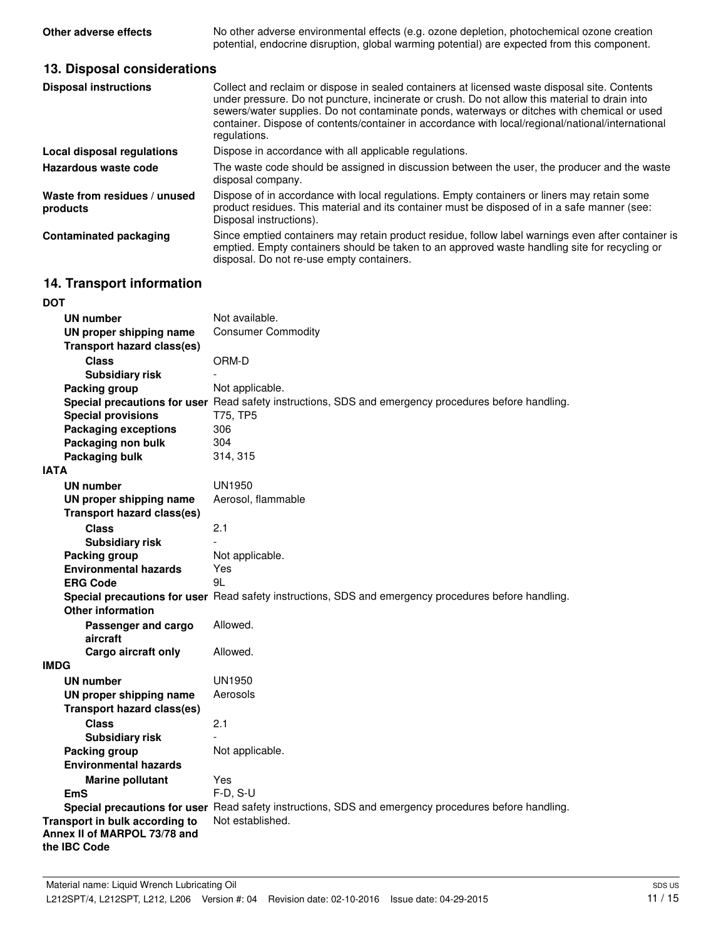**Other adverse effects** No other adverse environmental effects (e.g. ozone depletion, photochemical ozone creation potential, endocrine disruption, global warming potential) are expected from this component.

## **13. Disposal considerations**

| <b>Disposal instructions</b>             | Collect and reclaim or dispose in sealed containers at licensed waste disposal site. Contents<br>under pressure. Do not puncture, incinerate or crush. Do not allow this material to drain into<br>sewers/water supplies. Do not contaminate ponds, waterways or ditches with chemical or used<br>container. Dispose of contents/container in accordance with local/regional/national/international<br>regulations. |
|------------------------------------------|---------------------------------------------------------------------------------------------------------------------------------------------------------------------------------------------------------------------------------------------------------------------------------------------------------------------------------------------------------------------------------------------------------------------|
| <b>Local disposal regulations</b>        | Dispose in accordance with all applicable regulations.                                                                                                                                                                                                                                                                                                                                                              |
| Hazardous waste code                     | The waste code should be assigned in discussion between the user, the producer and the waste<br>disposal company.                                                                                                                                                                                                                                                                                                   |
| Waste from residues / unused<br>products | Dispose of in accordance with local regulations. Empty containers or liners may retain some<br>product residues. This material and its container must be disposed of in a safe manner (see:<br>Disposal instructions).                                                                                                                                                                                              |
| <b>Contaminated packaging</b>            | Since emptied containers may retain product residue, follow label warnings even after container is<br>emptied. Empty containers should be taken to an approved waste handling site for recycling or<br>disposal. Do not re-use empty containers.                                                                                                                                                                    |

# **14. Transport information**

| DOT                               |                                                                                                      |
|-----------------------------------|------------------------------------------------------------------------------------------------------|
| <b>UN number</b>                  | Not available.                                                                                       |
| UN proper shipping name           | <b>Consumer Commodity</b>                                                                            |
| <b>Transport hazard class(es)</b> |                                                                                                      |
| <b>Class</b>                      | ORM-D                                                                                                |
| <b>Subsidiary risk</b>            |                                                                                                      |
| <b>Packing group</b>              | Not applicable.                                                                                      |
|                                   | Special precautions for user Read safety instructions, SDS and emergency procedures before handling. |
| <b>Special provisions</b>         | T75, TP5                                                                                             |
| <b>Packaging exceptions</b>       | 306                                                                                                  |
| Packaging non bulk                | 304                                                                                                  |
| Packaging bulk                    | 314, 315                                                                                             |
| IATA                              |                                                                                                      |
| <b>UN number</b>                  | <b>UN1950</b>                                                                                        |
| UN proper shipping name           | Aerosol, flammable                                                                                   |
| <b>Transport hazard class(es)</b> |                                                                                                      |
| <b>Class</b>                      | 2.1                                                                                                  |
| <b>Subsidiary risk</b>            |                                                                                                      |
| <b>Packing group</b>              | Not applicable.                                                                                      |
| <b>Environmental hazards</b>      | Yes                                                                                                  |
| <b>ERG Code</b>                   | 9L                                                                                                   |
|                                   | Special precautions for user Read safety instructions, SDS and emergency procedures before handling. |
| <b>Other information</b>          |                                                                                                      |
| Passenger and cargo               | Allowed.                                                                                             |
| aircraft                          |                                                                                                      |
| Cargo aircraft only               | Allowed.                                                                                             |
| <b>IMDG</b>                       |                                                                                                      |
| <b>UN number</b>                  | UN1950                                                                                               |
| UN proper shipping name           | Aerosols                                                                                             |
| <b>Transport hazard class(es)</b> |                                                                                                      |
| <b>Class</b>                      | 2.1                                                                                                  |
| <b>Subsidiary risk</b>            |                                                                                                      |
| Packing group                     | Not applicable.                                                                                      |
| <b>Environmental hazards</b>      |                                                                                                      |
| <b>Marine pollutant</b>           | Yes                                                                                                  |
| <b>EmS</b>                        | $F-D, S-U$                                                                                           |
|                                   | Special precautions for user Read safety instructions, SDS and emergency procedures before handling. |
| Transport in bulk according to    | Not established.                                                                                     |
| Annex II of MARPOL 73/78 and      |                                                                                                      |
| the IBC Code                      |                                                                                                      |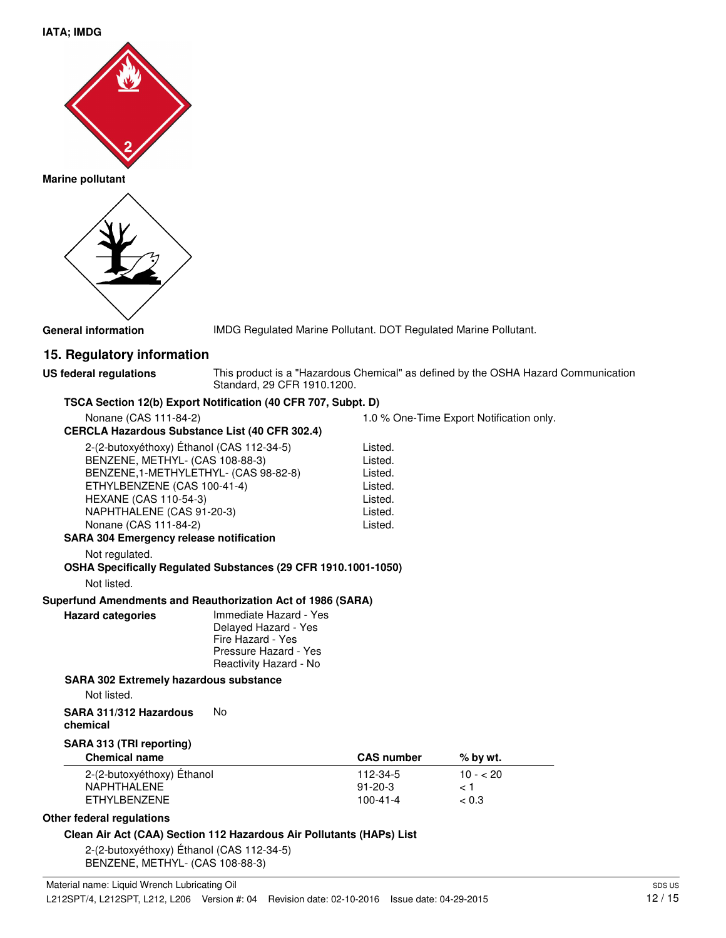## **IATA; IMDG**



**Marine pollutant**



**General information** IMDG Regulated Marine Pollutant. DOT Regulated Marine Pollutant.

## **15. Regulatory information**

**US federal regulations**

This product is a "Hazardous Chemical" as defined by the OSHA Hazard Communication Standard, 29 CFR 1910.1200.

Export Notification only.

#### **TSCA Section 12(b) Export Notification (40 CFR 707, Subpt. D)**

| Nonane (CAS 111-84-2)                                                                                                                                                                                                                      |                                                                                                                        | 1.0 % One-Time                                                            |
|--------------------------------------------------------------------------------------------------------------------------------------------------------------------------------------------------------------------------------------------|------------------------------------------------------------------------------------------------------------------------|---------------------------------------------------------------------------|
| <b>CERCLA Hazardous Substance List (40 CFR 302.4)</b>                                                                                                                                                                                      |                                                                                                                        |                                                                           |
| 2-(2-butoxyéthoxy) Éthanol (CAS 112-34-5)<br>BENZENE, METHYL- (CAS 108-88-3)<br>BENZENE, 1-METHYLETHYL- (CAS 98-82-8)<br>ETHYLBENZENE (CAS 100-41-4)<br><b>HEXANE (CAS 110-54-3)</b><br>NAPHTHALENE (CAS 91-20-3)<br>Nonane (CAS 111-84-2) |                                                                                                                        | Listed.<br>Listed.<br>Listed.<br>Listed.<br>Listed.<br>Listed.<br>Listed. |
| <b>SARA 304 Emergency release notification</b>                                                                                                                                                                                             |                                                                                                                        |                                                                           |
| Not regulated.<br>OSHA Specifically Regulated Substances (29 CFR 1910.1001-1050)<br>Not listed.                                                                                                                                            |                                                                                                                        |                                                                           |
| Superfund Amendments and Reauthorization Act of 1986 (SARA)                                                                                                                                                                                |                                                                                                                        |                                                                           |
| <b>Hazard categories</b>                                                                                                                                                                                                                   | Immediate Hazard - Yes<br>Delayed Hazard - Yes<br>Fire Hazard - Yes<br>Pressure Hazard - Yes<br>Reactivity Hazard - No |                                                                           |
| <b>SARA 302 Extremely hazardous substance</b>                                                                                                                                                                                              |                                                                                                                        |                                                                           |
| Not listed.                                                                                                                                                                                                                                |                                                                                                                        |                                                                           |
| SARA 311/312 Hazardous                                                                                                                                                                                                                     | No                                                                                                                     |                                                                           |

**chemical**

#### **SARA 313 (TRI reporting)**

| <b>Chemical name</b>       | <b>CAS number</b> | % by wt.  |  |
|----------------------------|-------------------|-----------|--|
| 2-(2-butoxyéthoxy) Éthanol | 112-34-5          | $10 - 20$ |  |
| NAPHTHALENE                | $91 - 20 - 3$     | 1 ج       |  |
| FTHYLBENZENE               | $100 - 41 - 4$    | ~< 0.3    |  |

## **Other federal regulations**

#### **Clean Air Act (CAA) Section 112 Hazardous Air Pollutants (HAPs) List**

2-(2-butoxyéthoxy) Éthanol (CAS 112-34-5) BENZENE, METHYL- (CAS 108-88-3)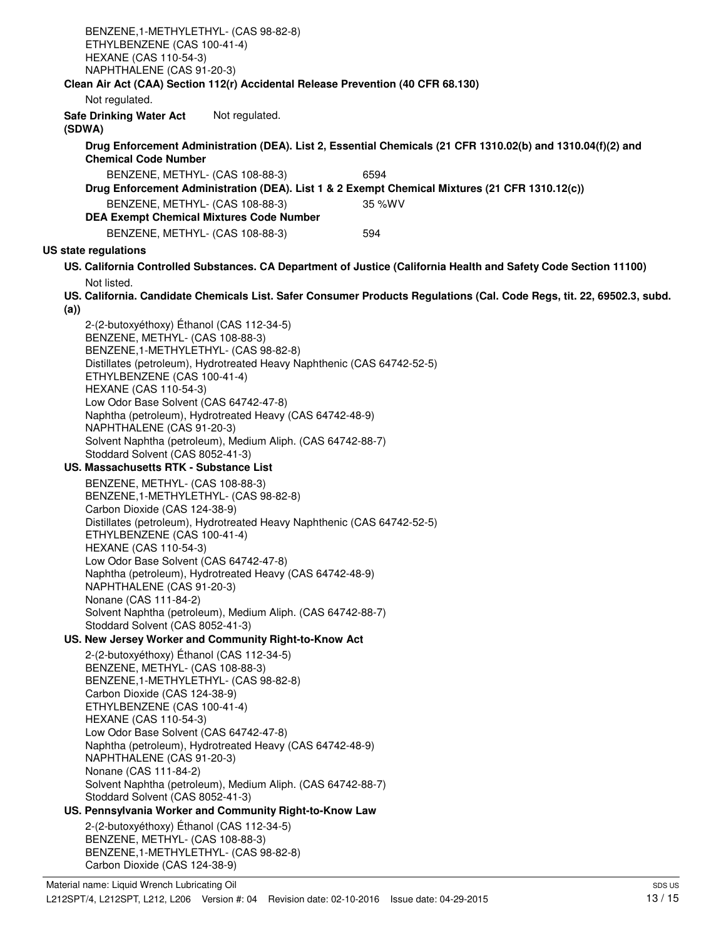| BENZENE, 1-METHYLETHYL- (CAS 98-82-8)<br>ETHYLBENZENE (CAS 100-41-4)<br><b>HEXANE (CAS 110-54-3)</b>                                                                                                                                                                                                                                                                                                                                                                                                                                                                                                                                                                                                                                                                                                                                                                                                                                                              |  |  |  |
|-------------------------------------------------------------------------------------------------------------------------------------------------------------------------------------------------------------------------------------------------------------------------------------------------------------------------------------------------------------------------------------------------------------------------------------------------------------------------------------------------------------------------------------------------------------------------------------------------------------------------------------------------------------------------------------------------------------------------------------------------------------------------------------------------------------------------------------------------------------------------------------------------------------------------------------------------------------------|--|--|--|
| NAPHTHALENE (CAS 91-20-3)<br>Clean Air Act (CAA) Section 112(r) Accidental Release Prevention (40 CFR 68.130)                                                                                                                                                                                                                                                                                                                                                                                                                                                                                                                                                                                                                                                                                                                                                                                                                                                     |  |  |  |
| Not regulated.                                                                                                                                                                                                                                                                                                                                                                                                                                                                                                                                                                                                                                                                                                                                                                                                                                                                                                                                                    |  |  |  |
| Not regulated.<br><b>Safe Drinking Water Act</b><br>(SDWA)                                                                                                                                                                                                                                                                                                                                                                                                                                                                                                                                                                                                                                                                                                                                                                                                                                                                                                        |  |  |  |
| Drug Enforcement Administration (DEA). List 2, Essential Chemicals (21 CFR 1310.02(b) and 1310.04(f)(2) and<br><b>Chemical Code Number</b>                                                                                                                                                                                                                                                                                                                                                                                                                                                                                                                                                                                                                                                                                                                                                                                                                        |  |  |  |
| BENZENE, METHYL- (CAS 108-88-3)<br>6594                                                                                                                                                                                                                                                                                                                                                                                                                                                                                                                                                                                                                                                                                                                                                                                                                                                                                                                           |  |  |  |
| Drug Enforcement Administration (DEA). List 1 & 2 Exempt Chemical Mixtures (21 CFR 1310.12(c))<br>BENZENE, METHYL- (CAS 108-88-3)<br>35 %WV                                                                                                                                                                                                                                                                                                                                                                                                                                                                                                                                                                                                                                                                                                                                                                                                                       |  |  |  |
| <b>DEA Exempt Chemical Mixtures Code Number</b>                                                                                                                                                                                                                                                                                                                                                                                                                                                                                                                                                                                                                                                                                                                                                                                                                                                                                                                   |  |  |  |
| BENZENE, METHYL- (CAS 108-88-3)<br>594                                                                                                                                                                                                                                                                                                                                                                                                                                                                                                                                                                                                                                                                                                                                                                                                                                                                                                                            |  |  |  |
| US state regulations                                                                                                                                                                                                                                                                                                                                                                                                                                                                                                                                                                                                                                                                                                                                                                                                                                                                                                                                              |  |  |  |
| US. California Controlled Substances. CA Department of Justice (California Health and Safety Code Section 11100)<br>Not listed.                                                                                                                                                                                                                                                                                                                                                                                                                                                                                                                                                                                                                                                                                                                                                                                                                                   |  |  |  |
| US. California. Candidate Chemicals List. Safer Consumer Products Regulations (Cal. Code Regs, tit. 22, 69502.3, subd.<br>(a))                                                                                                                                                                                                                                                                                                                                                                                                                                                                                                                                                                                                                                                                                                                                                                                                                                    |  |  |  |
| 2-(2-butoxyéthoxy) Éthanol (CAS 112-34-5)<br>BENZENE, METHYL- (CAS 108-88-3)<br>BENZENE,1-METHYLETHYL- (CAS 98-82-8)<br>Distillates (petroleum), Hydrotreated Heavy Naphthenic (CAS 64742-52-5)<br>ETHYLBENZENE (CAS 100-41-4)<br><b>HEXANE (CAS 110-54-3)</b><br>Low Odor Base Solvent (CAS 64742-47-8)<br>Naphtha (petroleum), Hydrotreated Heavy (CAS 64742-48-9)<br>NAPHTHALENE (CAS 91-20-3)<br>Solvent Naphtha (petroleum), Medium Aliph. (CAS 64742-88-7)<br>Stoddard Solvent (CAS 8052-41-3)<br>US. Massachusetts RTK - Substance List<br>BENZENE, METHYL- (CAS 108-88-3)<br>BENZENE, 1-METHYLETHYL- (CAS 98-82-8)<br>Carbon Dioxide (CAS 124-38-9)<br>Distillates (petroleum), Hydrotreated Heavy Naphthenic (CAS 64742-52-5)<br>ETHYLBENZENE (CAS 100-41-4)<br><b>HEXANE (CAS 110-54-3)</b><br>Low Odor Base Solvent (CAS 64742-47-8)<br>Naphtha (petroleum), Hydrotreated Heavy (CAS 64742-48-9)<br>NAPHTHALENE (CAS 91-20-3)<br>Nonane (CAS 111-84-2) |  |  |  |
| Solvent Naphtha (petroleum), Medium Aliph. (CAS 64742-88-7)                                                                                                                                                                                                                                                                                                                                                                                                                                                                                                                                                                                                                                                                                                                                                                                                                                                                                                       |  |  |  |
| Stoddard Solvent (CAS 8052-41-3)<br>US. New Jersey Worker and Community Right-to-Know Act                                                                                                                                                                                                                                                                                                                                                                                                                                                                                                                                                                                                                                                                                                                                                                                                                                                                         |  |  |  |
| 2-(2-butoxyéthoxy) Éthanol (CAS 112-34-5)<br>BENZENE, METHYL- (CAS 108-88-3)<br>BENZENE,1-METHYLETHYL- (CAS 98-82-8)<br>Carbon Dioxide (CAS 124-38-9)<br>ETHYLBENZENE (CAS 100-41-4)<br><b>HEXANE (CAS 110-54-3)</b><br>Low Odor Base Solvent (CAS 64742-47-8)<br>Naphtha (petroleum), Hydrotreated Heavy (CAS 64742-48-9)<br>NAPHTHALENE (CAS 91-20-3)<br>Nonane (CAS 111-84-2)                                                                                                                                                                                                                                                                                                                                                                                                                                                                                                                                                                                  |  |  |  |
| Solvent Naphtha (petroleum), Medium Aliph. (CAS 64742-88-7)                                                                                                                                                                                                                                                                                                                                                                                                                                                                                                                                                                                                                                                                                                                                                                                                                                                                                                       |  |  |  |
| Stoddard Solvent (CAS 8052-41-3)                                                                                                                                                                                                                                                                                                                                                                                                                                                                                                                                                                                                                                                                                                                                                                                                                                                                                                                                  |  |  |  |
| US. Pennsylvania Worker and Community Right-to-Know Law                                                                                                                                                                                                                                                                                                                                                                                                                                                                                                                                                                                                                                                                                                                                                                                                                                                                                                           |  |  |  |
| 2-(2-butoxyéthoxy) Éthanol (CAS 112-34-5)<br>BENZENE, METHYL- (CAS 108-88-3)<br>BENZENE, 1-METHYLETHYL- (CAS 98-82-8)<br>Carbon Dioxide (CAS 124-38-9)                                                                                                                                                                                                                                                                                                                                                                                                                                                                                                                                                                                                                                                                                                                                                                                                            |  |  |  |
|                                                                                                                                                                                                                                                                                                                                                                                                                                                                                                                                                                                                                                                                                                                                                                                                                                                                                                                                                                   |  |  |  |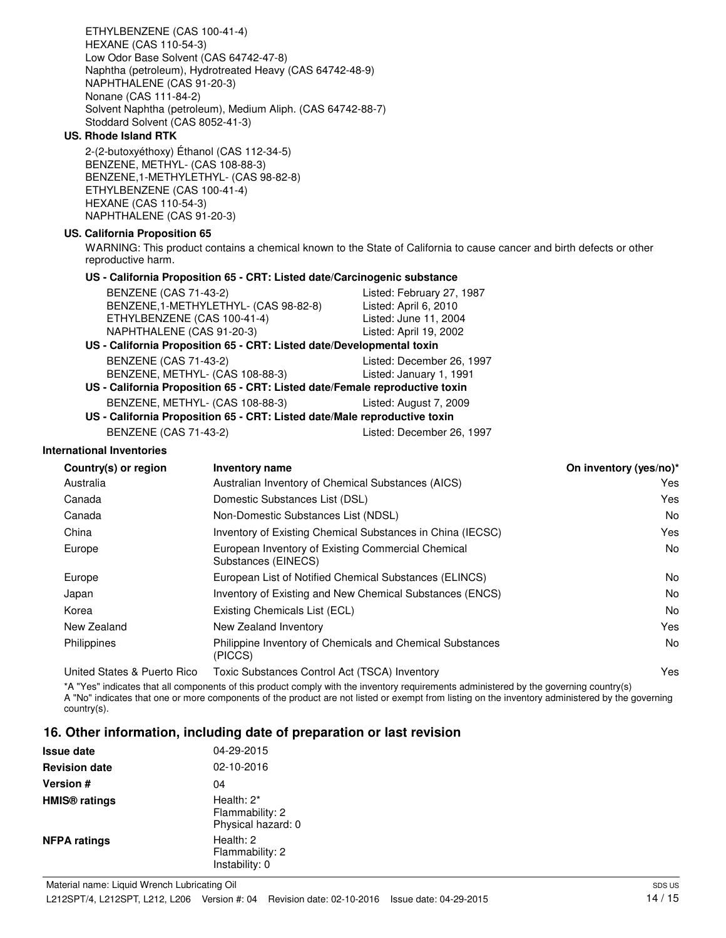2-(2-butoxyéthoxy) Éthanol (CAS 112-34-5) BENZENE, METHYL- (CAS 108-88-3) BENZENE,1-METHYLETHYL- (CAS 98-82-8) ETHYLBENZENE (CAS 100-41-4) HEXANE (CAS 110-54-3) NAPHTHALENE (CAS 91-20-3) **US. California Proposition 65** WARNING: This product contains a chemical known to the State of California to cause cancer and birth defects or other reproductive harm. **US - California Proposition 65 - CRT: Listed date/Carcinogenic substance** BENZENE (CAS 71-43-2) Listed: February 27, 1987 BENZENE,1-METHYLETHYL- (CAS 98-82-8) Listed: April 6, 2010 ETHYLBENZENE (CAS 100-41-4) Listed: June 11, 2004

Naphtha (petroleum), Hydrotreated Heavy (CAS 64742-48-9)

Solvent Naphtha (petroleum), Medium Aliph. (CAS 64742-88-7)

ETHYLBENZENE (CAS 100-41-4)

NAPHTHALENE (CAS 91-20-3) Nonane (CAS 111-84-2)

Stoddard Solvent (CAS 8052-41-3)

Low Odor Base Solvent (CAS 64742-47-8)

HEXANE (CAS 110-54-3)

**US. Rhode Island RTK**

#### NAPHTHALENE (CAS 91-20-3) Listed: April 19, 2002 **US - California Proposition 65 - CRT: Listed date/Developmental toxin** BENZENE (CAS 71-43-2) Listed: December 26, 1997 BENZENE, METHYL- (CAS 108-88-3) Listed: January 1, 1991

**US - California Proposition 65 - CRT: Listed date/Female reproductive toxin** BENZENE, METHYL- (CAS 108-88-3) Listed: August 7, 2009

# **US - California Proposition 65 - CRT: Listed date/Male reproductive toxin** BENZENE (CAS 71-43-2) Listed: December 26, 1997

**International Inventories**

| Country(s) or region        | <b>Inventory name</b>                                                     | On inventory (yes/no)* |
|-----------------------------|---------------------------------------------------------------------------|------------------------|
| Australia                   | Australian Inventory of Chemical Substances (AICS)                        | Yes                    |
| Canada                      | Domestic Substances List (DSL)                                            | Yes                    |
| Canada                      | Non-Domestic Substances List (NDSL)                                       | <b>No</b>              |
| China                       | Inventory of Existing Chemical Substances in China (IECSC)                | Yes                    |
| Europe                      | European Inventory of Existing Commercial Chemical<br>Substances (EINECS) | No                     |
| Europe                      | European List of Notified Chemical Substances (ELINCS)                    | No                     |
| Japan                       | Inventory of Existing and New Chemical Substances (ENCS)                  | No                     |
| Korea                       | Existing Chemicals List (ECL)                                             | No                     |
| New Zealand                 | New Zealand Inventory                                                     | Yes                    |
| Philippines                 | Philippine Inventory of Chemicals and Chemical Substances<br>(PICCS)      | No                     |
| United States & Puerto Rico | Toxic Substances Control Act (TSCA) Inventory                             | Yes                    |

\*A "Yes" indicates that all components of this product comply with the inventory requirements administered by the governing country(s) A "No" indicates that one or more components of the product are not listed or exempt from listing on the inventory administered by the governing country(s).

## **16. Other information, including date of preparation or last revision**

| <b>Issue date</b>               | 04-29-2015                                             |
|---------------------------------|--------------------------------------------------------|
| <b>Revision date</b>            | 02-10-2016                                             |
| <b>Version #</b>                | 04                                                     |
| <b>HMIS<sup>®</sup></b> ratings | Health: $2^*$<br>Flammability: 2<br>Physical hazard: 0 |
| <b>NFPA ratings</b>             | Health: 2<br>Flammability: 2<br>Instability: 0         |